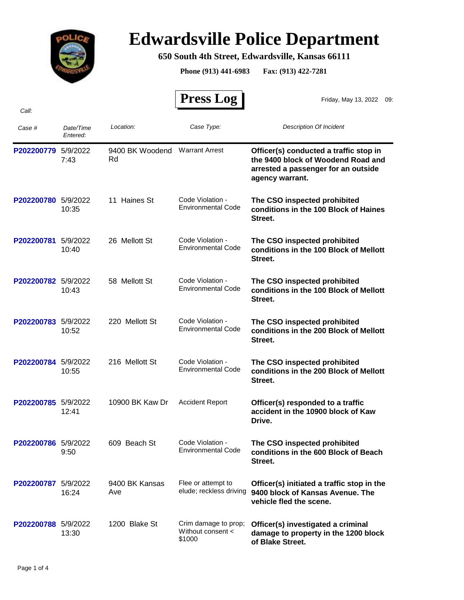

## **Edwardsville Police Department**

## **650 South 4th Street, Edwardsville, Kansas 66111**

**Phone (913) 441-6983 Fax: (913) 422-7281**

| Call:               |                       |                       | <b>Press Log</b>                                    | Friday, May 13, 2022<br>09:                                                                                                            |
|---------------------|-----------------------|-----------------------|-----------------------------------------------------|----------------------------------------------------------------------------------------------------------------------------------------|
| Case #              | Date/Time<br>Entered: | Location:             | Case Type:                                          | <b>Description Of Incident</b>                                                                                                         |
| P202200779          | 5/9/2022<br>7:43      | 9400 BK Woodend<br>Rd | <b>Warrant Arrest</b>                               | Officer(s) conducted a traffic stop in<br>the 9400 block of Woodend Road and<br>arrested a passenger for an outside<br>agency warrant. |
| P202200780 5/9/2022 | 10:35                 | 11 Haines St          | Code Violation -<br><b>Environmental Code</b>       | The CSO inspected prohibited<br>conditions in the 100 Block of Haines<br>Street.                                                       |
| P202200781          | 5/9/2022<br>10:40     | 26 Mellott St         | Code Violation -<br><b>Environmental Code</b>       | The CSO inspected prohibited<br>conditions in the 100 Block of Mellott<br>Street.                                                      |
| P202200782 5/9/2022 | 10:43                 | 58 Mellott St         | Code Violation -<br><b>Environmental Code</b>       | The CSO inspected prohibited<br>conditions in the 100 Block of Mellott<br>Street.                                                      |
| P202200783 5/9/2022 | 10:52                 | 220 Mellott St        | Code Violation -<br><b>Environmental Code</b>       | The CSO inspected prohibited<br>conditions in the 200 Block of Mellott<br>Street.                                                      |
| P202200784 5/9/2022 | 10:55                 | 216 Mellott St        | Code Violation -<br><b>Environmental Code</b>       | The CSO inspected prohibited<br>conditions in the 200 Block of Mellott<br>Street.                                                      |
| P202200785 5/9/2022 | 12:41                 | 10900 BK Kaw Dr       | <b>Accident Report</b>                              | Officer(s) responded to a traffic<br>accident in the 10900 block of Kaw<br>Drive.                                                      |
| P202200786 5/9/2022 | 9:50                  | 609 Beach St          | Code Violation -<br><b>Environmental Code</b>       | The CSO inspected prohibited<br>conditions in the 600 Block of Beach<br>Street.                                                        |
| P202200787          | 5/9/2022<br>16:24     | 9400 BK Kansas<br>Ave | Flee or attempt to<br>elude; reckless driving       | Officer(s) initiated a traffic stop in the<br>9400 block of Kansas Avenue. The<br>vehicle fled the scene.                              |
| P202200788 5/9/2022 | 13:30                 | 1200 Blake St         | Crim damage to prop;<br>Without consent <<br>\$1000 | Officer(s) investigated a criminal<br>damage to property in the 1200 block<br>of Blake Street.                                         |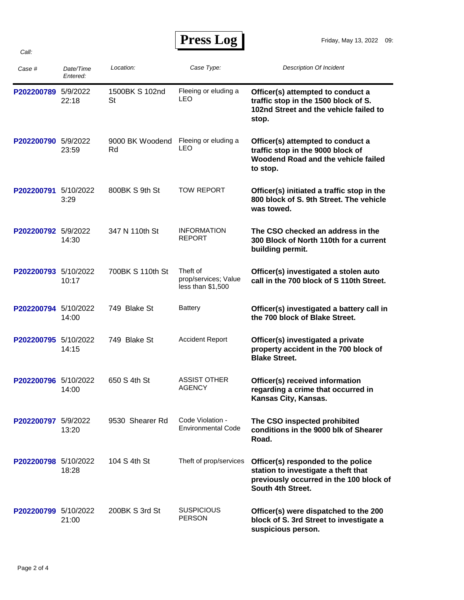| Press Log |  |
|-----------|--|
|-----------|--|

| Case #               | Date/Time<br>Entered: | Location:             | Case Type:                                             | <b>Description Of Incident</b>                                                                                                            |
|----------------------|-----------------------|-----------------------|--------------------------------------------------------|-------------------------------------------------------------------------------------------------------------------------------------------|
| P202200789 5/9/2022  | 22:18                 | 1500BK S 102nd<br>St  | Fleeing or eluding a<br>LEO                            | Officer(s) attempted to conduct a<br>traffic stop in the 1500 block of S.<br>102nd Street and the vehicle failed to<br>stop.              |
| P202200790 5/9/2022  | 23:59                 | 9000 BK Woodend<br>Rd | Fleeing or eluding a<br>LEO                            | Officer(s) attempted to conduct a<br>traffic stop in the 9000 block of<br>Woodend Road and the vehicle failed<br>to stop.                 |
| P202200791           | 5/10/2022<br>3:29     | 800BK S 9th St        | <b>TOW REPORT</b>                                      | Officer(s) initiated a traffic stop in the<br>800 block of S. 9th Street. The vehicle<br>was towed.                                       |
| P202200792 5/9/2022  | 14:30                 | 347 N 110th St        | <b>INFORMATION</b><br><b>REPORT</b>                    | The CSO checked an address in the<br>300 Block of North 110th for a current<br>building permit.                                           |
| P202200793 5/10/2022 | 10:17                 | 700BK S 110th St      | Theft of<br>prop/services; Value<br>less than $$1,500$ | Officer(s) investigated a stolen auto<br>call in the 700 block of S 110th Street.                                                         |
| P202200794 5/10/2022 | 14:00                 | 749 Blake St          | <b>Battery</b>                                         | Officer(s) investigated a battery call in<br>the 700 block of Blake Street.                                                               |
| P202200795 5/10/2022 | 14:15                 | 749 Blake St          | <b>Accident Report</b>                                 | Officer(s) investigated a private<br>property accident in the 700 block of<br><b>Blake Street.</b>                                        |
| P202200796 5/10/2022 | 14:00                 | 650 S 4th St          | <b>ASSIST OTHER</b><br><b>AGENCY</b>                   | Officer(s) received information<br>regarding a crime that occurred in<br>Kansas City, Kansas.                                             |
| P202200797 5/9/2022  | 13:20                 | 9530 Shearer Rd       | Code Violation -<br><b>Environmental Code</b>          | The CSO inspected prohibited<br>conditions in the 9000 blk of Shearer<br>Road.                                                            |
| P202200798 5/10/2022 | 18:28                 | 104 S 4th St          | Theft of prop/services                                 | Officer(s) responded to the police<br>station to investigate a theft that<br>previously occurred in the 100 block of<br>South 4th Street. |
| P202200799 5/10/2022 | 21:00                 | 200BK S 3rd St        | <b>SUSPICIOUS</b><br><b>PERSON</b>                     | Officer(s) were dispatched to the 200<br>block of S. 3rd Street to investigate a<br>suspicious person.                                    |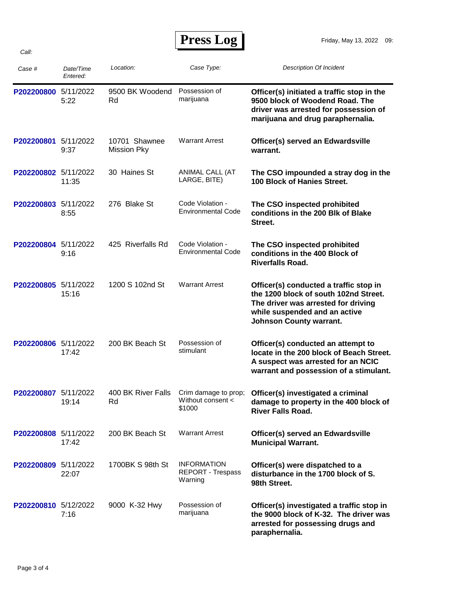## **Press Log**

| Case #               | Date/Time<br>Entered: | Location:                    | Case Type:                                                | Description Of Incident                                                                                                                                                                   |
|----------------------|-----------------------|------------------------------|-----------------------------------------------------------|-------------------------------------------------------------------------------------------------------------------------------------------------------------------------------------------|
| P202200800 5/11/2022 | 5:22                  | 9500 BK Woodend<br>Rd        | Possession of<br>marijuana                                | Officer(s) initiated a traffic stop in the<br>9500 block of Woodend Road. The<br>driver was arrested for possession of<br>marijuana and drug paraphernalia.                               |
| P202200801           | 5/11/2022<br>9:37     | 10701 Shawnee<br>Mission Pky | <b>Warrant Arrest</b>                                     | Officer(s) served an Edwardsville<br>warrant.                                                                                                                                             |
| P202200802 5/11/2022 | 11:35                 | 30 Haines St                 | ANIMAL CALL (AT<br>LARGE, BITE)                           | The CSO impounded a stray dog in the<br>100 Block of Hanies Street.                                                                                                                       |
| P202200803 5/11/2022 | 8:55                  | 276 Blake St                 | Code Violation -<br><b>Environmental Code</b>             | The CSO inspected prohibited<br>conditions in the 200 Blk of Blake<br>Street.                                                                                                             |
| P202200804 5/11/2022 | 9:16                  | 425 Riverfalls Rd            | Code Violation -<br><b>Environmental Code</b>             | The CSO inspected prohibited<br>conditions in the 400 Block of<br><b>Riverfalls Road.</b>                                                                                                 |
| P202200805 5/11/2022 | 15:16                 | 1200 S 102nd St              | <b>Warrant Arrest</b>                                     | Officer(s) conducted a traffic stop in<br>the 1200 block of south 102nd Street.<br>The driver was arrested for driving<br>while suspended and an active<br><b>Johnson County warrant.</b> |
| P202200806 5/11/2022 | 17:42                 | 200 BK Beach St              | Possession of<br>stimulant                                | Officer(s) conducted an attempt to<br>locate in the 200 block of Beach Street.<br>A suspect was arrested for an NCIC<br>warrant and possession of a stimulant.                            |
| P202200807 5/11/2022 | 19:14                 | 400 BK River Falls<br>Rd     | Crim damage to prop;<br>Without consent <<br>\$1000       | Officer(s) investigated a criminal<br>damage to property in the 400 block of<br><b>River Falls Road.</b>                                                                                  |
| P202200808 5/11/2022 | 17:42                 | 200 BK Beach St              | <b>Warrant Arrest</b>                                     | Officer(s) served an Edwardsville<br><b>Municipal Warrant.</b>                                                                                                                            |
| P202200809 5/11/2022 | 22:07                 | 1700BK S 98th St             | <b>INFORMATION</b><br><b>REPORT - Trespass</b><br>Warning | Officer(s) were dispatched to a<br>disturbance in the 1700 block of S.<br>98th Street.                                                                                                    |
| P202200810 5/12/2022 | 7:16                  | 9000 K-32 Hwy                | Possession of<br>marijuana                                | Officer(s) investigated a traffic stop in<br>the 9000 block of K-32. The driver was<br>arrested for possessing drugs and<br>paraphernalia.                                                |